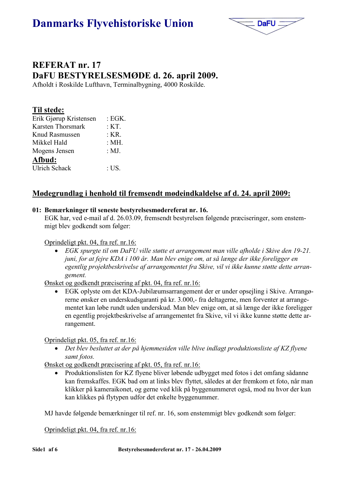# **Danmarks Flyvehistoriske Union**



# REFERAT nr. 17 DaFU BESTYRELSESMØDE d. 26. april 2009.

Afholdt i Roskilde Lufthavn, Terminalbygning, 4000 Roskilde.

|  | Til stede: |  |
|--|------------|--|
|  |            |  |

| Erik Gjørup Kristensen | : EGK. |
|------------------------|--------|
| Karsten Thorsmark      | : KT.  |
| Knud Rasmussen         | : KR.  |
| Mikkel Hald            | : MH.  |
| Mogens Jensen          | : MJ.  |
| Afbud:                 |        |
| <b>Ulrich Schack</b>   | : US.  |

# Mødegrundlag i henhold til fremsendt mødeindkaldelse af d. 24. april 2009:

# 01: Bemærkninger til seneste bestyrelsesmødereferat nr. 16.

EGK har, ved e-mail af d. 26.03.09, fremsendt bestyrelsen følgende præciseringer, som enstemmigt blev godkendt som følger:

# Oprindeligt pkt. 04, fra ref. nr.16:

• EGK spurgte til om DaFU ville støtte et arrangement man ville afholde i Skive den 19-21. juni, for at fejre KDA i 100 år. Man blev enige om, at så længe der ikke foreligger en egentlig projektbeskrivelse af arrangementet fra Skive, vil vi ikke kunne støtte dette arrangement.

Ønsket og godkendt præcisering af pkt. 04, fra ref. nr.16:

• EGK oplyste om det KDA-Jubilæumsarrangement der er under opsejling i Skive. Arrangørerne ønsker en underskudsgaranti på kr. 3.000,- fra deltagerne, men forventer at arrangementet kan løbe rundt uden underskud. Man blev enige om, at så længe der ikke foreligger en egentlig projektbeskrivelse af arrangementet fra Skive, vil vi ikke kunne støtte dette arrangement.

Oprindeligt pkt. 05, fra ref. nr.16:

• Det blev besluttet at der på hjemmesiden ville blive indlagt produktionsliste af KZ flyene samt fotos.

Ønsket og godkendt præcisering af pkt. 05, fra ref. nr.16:

• Produktionslisten for KZ flyene bliver løbende udbygget med fotos i det omfang sådanne kan fremskaffes. EGK bad om at links blev flyttet, således at der fremkom et foto, når man klikker på kameraikonet, og gerne ved klik på byggenummeret også, mod nu hvor der kun kan klikkes på flytypen udfor det enkelte byggenummer.

MJ havde følgende bemærkninger til ref. nr. 16, som enstemmigt blev godkendt som følger:

Oprindeligt pkt. 04, fra ref. nr.16: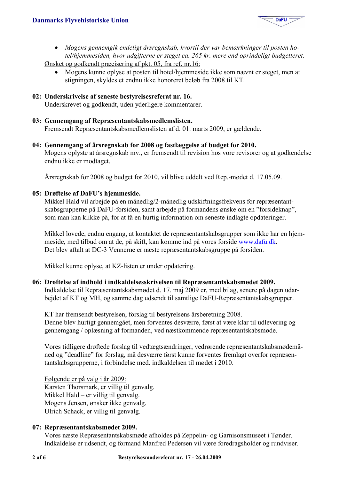

- Mogens gennemgik endeligt årsregnskab, hvortil der var bemærkninger til posten hotel/hiemmesiden, hvor udgifterne er steget ca. 265 kr. mere end oprindeligt budgetteret. Ønsket og godkendt præcisering af pkt. 05, fra ref. nr.16:
	- Mogens kunne oplyse at posten til hotel/hiemmeside ikke som nævnt er steget, men at stigningen, skyldes et endnu ikke honoreret beløb fra 2008 til KT.
- 02: Underskrivelse af seneste bestyrelsesreferat nr. 16.

Underskrevet og godkendt, uden yderligere kommentarer.

03: Gennemgang af Repræsentantskabsmedlemslisten.

Fremsendt Repræsentantskabsmedlemslisten af d. 01. marts 2009, er gældende.

04: Gennemgang af årsregnskab for 2008 og fastlæggelse af budget for 2010. Mogens oplyste at årsregnskab my., er fremsendt til revision hos vore revisorer og at godkendelse endnu ikke er modtaget.

Årsregnskab for 2008 og budget for 2010, vil blive uddelt ved Rep.-mødet d. 17.05.09.

## 05: Drøftelse af DaFU's hjemmeside.

Mikkel Hald vil arbejde på en månedlig/2-månedlig udskiftningsfrekvens for repræsentantskabsgrupperne på DaFU-forsiden, samt arbeide på formandens ønske om en "forsideknap". som man kan klikke på, for at få en hurtig information om seneste indlagte opdateringer.

Mikkel lovede, endnu engang, at kontaktet de repræsentantskabsgrupper som ikke har en hjemmeside, med tilbud om at de, på skift, kan komme ind på vores forside www.dafu.dk. Det blev aftalt at DC-3 Vennerne er næste repræsentantskabsgruppe på forsiden.

Mikkel kunne oplyse, at KZ-listen er under opdatering.

#### 06: Drøftelse af indhold i indkaldelsesskrivelsen til Repræsentantskabsmødet 2009.

Indkaldelse til Repræsentantskabsmødet d. 17. maj 2009 er, med bilag, senere på dagen udarbejdet af KT og MH, og samme dag udsendt til samtlige DaFU-Repræsentantskabsgrupper.

KT har fremsendt bestyrelsen, forslag til bestyrelsens årsberetning 2008. Denne blev hurtigt gennemgået, men forventes desværre, først at være klar til udlevering og gennemgang / oplæsning af formanden, ved næstkommende repræsentantskabsmøde.

Vores tidligere drøftede forslag til vedtægtsændringer, vedrørende repræsentantskabsmødemåned og "deadline" for forslag, må desværre først kunne forventes fremlagt overfor repræsentantskabsgrupperne, i forbindelse med. indkaldelsen til mødet i 2010.

Følgende er på valg i år 2009: Karsten Thorsmark, er villig til genvalg. Mikkel Hald – er villig til genvalg. Mogens Jensen, ønsker ikke genvalg. Ulrich Schack, er villig til genvalg.

#### 07: Repræsentantskabsmødet 2009.

Vores næste Repræsentantskabsmøde afholdes på Zeppelin- og Garnisonsmuseet i Tønder. Indkaldelse er udsendt, og formand Manfred Pedersen vil være foredragsholder og rundviser.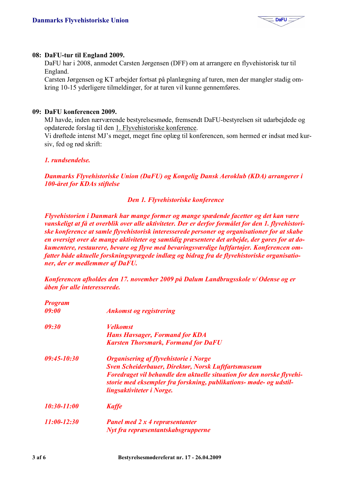

## 08: DaFU-tur til England 2009.

DaFU har i 2008, anmodet Carsten Jørgensen (DFF) om at arrangere en flyvehistorisk tur til England.

Carsten Jørgensen og KT arbejder fortsat på planlægning af turen, men der mangler stadig omkring 10-15 yderligere tilmeldinger, for at turen vil kunne gennemføres.

### 09: DaFU konferencen 2009.

MJ havde, inden nærværende bestyrelsesmøde, fremsendt DaFU-bestyrelsen sit udarbejdede og opdaterede forslag til den 1. Flyvehistoriske konference.

Vi drøftede intenst MJ's meget, meget fine oplæg til konferencen, som hermed er indsat med kursiv, fed og rød skrift:

#### 1. rundsendelse.

Danmarks Flyvehistoriske Union (DaFU) og Kongelig Dansk Aeroklub (KDA) arrangerer i **100-året for KDAs stiftelse** 

#### Den 1. Flyvehistoriske konference

Flyvehistorien i Danmark har mange former og mange spædende facetter og det kan være vanskeligt at få et overblik over alle aktiviteter. Der er derfor formålet for den 1. flyvehistoriske konference at samle flyvehistorisk interesserede personer og organisationer for at skabe en oversigt over de mange aktiviteter og samtidig præsentere det arbejde, der gøres for at dokumentere, restaurere, bevare og flyve med bevaringsværdige luftfartøjer. Konferencen omfatter både aktuelle forskningsprægede indlæg og bidrag fra de flyvehistoriske organisationer, der er medlemmer af DaFU.

Konferencen afholdes den 17. november 2009 på Dalum Landbrugsskole v/Odense og er åben for alle interesserede.

| <b>Program</b><br>09:00 | <b>Ankomst og registrering</b>                                         |
|-------------------------|------------------------------------------------------------------------|
| 09:30                   | <i>Velkomst</i>                                                        |
|                         | <b>Hans Havsager, Formand for KDA</b>                                  |
|                         | <b>Karsten Thorsmark, Formand for DaFU</b>                             |
| 09:45-10:30             | <b>Organisering af flyvehistorie i Norge</b>                           |
|                         | Sven Scheiderbauer, Direktør, Norsk Luftfartsmuseum                    |
|                         | Foredraget vil behandle den aktuelle situation for den norske flyvehi- |
|                         | storie med eksempler fra forskning, publikations- møde- og udstil-     |
|                         | lingsaktiviteter i Norge.                                              |
| 10:30-11:00             | <b>Kaffe</b>                                                           |
| $11:00-12:30$           | <b>Panel med 2 x 4 repræsentanter</b>                                  |
|                         | Nyt fra repræsentantskabsgrupperne                                     |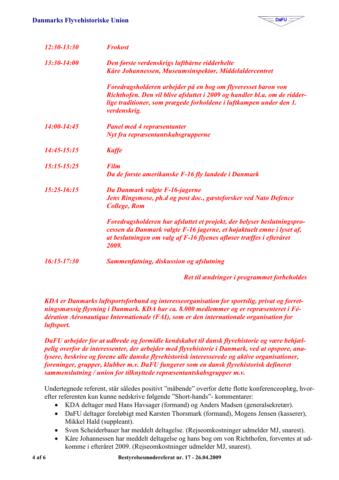

| 12:30-13:30     | <b>Frokost</b>                                                                                                                                                                                                                   |
|-----------------|----------------------------------------------------------------------------------------------------------------------------------------------------------------------------------------------------------------------------------|
| 13:30-14:00     | Den første verdenskrigs luftbårne ridderhelte<br>Kåre Johannessen, Museumsinspektør, Middelaldercentret                                                                                                                          |
|                 | Foredragsholderen arbejder på en bog om flyveresset baron von<br>Richthofen. Den vil blive afsluttet i 2009 og handler bl.a. om de ridder-<br>lige traditioner, som prægede forholdene i luftkampen under den 1.<br>verdenskrig. |
| $14:00 - 14:45$ | <b>Panel med 4 repræsentanter</b>                                                                                                                                                                                                |
|                 | Nyt fra repræsentantskabsgrupperne                                                                                                                                                                                               |
| $14:45 - 15:15$ | <b>Kaffe</b>                                                                                                                                                                                                                     |
| 15:15-15:25     | <b>Film</b><br>Da de første amerikanske F-16 fly landede i Danmark                                                                                                                                                               |
| $15:25 - 16:15$ | Da Danmark valgte F-16-jagerne<br>Jens Ringsmose, ph.d og post doc., gæsteforsker ved Nato Defence<br><b>College, Rom</b>                                                                                                        |
|                 | Foredragsholderen har afsluttet et projekt, der belyser beslutningspro-<br>cessen da Danmark valgte F-16 jagerne, et højaktuelt emne i lyset af,<br>at beslutningen om valg af F-16 flyenes afløser træffes i efteråret<br>2009. |
| 16:15-17:30     | Sammenfatning, diskussion og afslutning                                                                                                                                                                                          |

Ret til ændringer i programmet forbeholdes

KDA er Danmarks luftsportsforbund og interesseorganisation for sportslig, privat og forretningsmæssig flyvning i Danmark. KDA har ca. 8.000 medlemmer og er repræsenteret i Fédération Aéronautique Internationale (FAI), som er den internationale organisation for luftsport.

DaFU arbeider for at udbrede og formidle kendskabet til dansk flyvehistorie og være behiælpelig overfor de interessenter, der arbejder med flyvehistorie i Danmark, ved at opspore, analysere, beskrive og forene alle danske flyvehistorisk interesserede og aktive organisationer, foreninger, grupper, klubber m.v. DaFU fungerer som en dansk flyvehistorisk defineret sammenslutning / union for tilknyttede repræsentantskabsgrupper m.v.

Undertegnede referent, står således positivt "måbende" overfor dette flotte konferenceoplæg, hvorefter referenten kun kunne nedskrive følgende "Short-hands"- kommentarer:

- KDA deltager med Hans Havsager (formand) og Anders Madsen (generalsekretær).
- DaFU deltager foreløbigt med Karsten Thorsmark (formand), Mogens Jensen (kasserer), Mikkel Hald (suppleant).
- Sven Scheiderbauer har meddelt deltagelse. (Rejseomkostninger udmelder MJ, snarest).
- Kåre Johannessen har meddelt deltagelse og hans bog om von Richthofen, forventes at udkomme i efteråret 2009. (Rejseomkostninger udmelder MJ, snarest).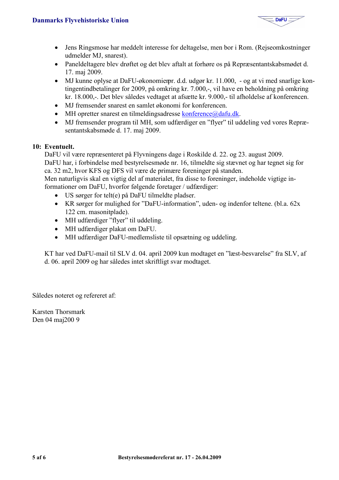

- Jens Ringsmose har meddelt interesse for deltagelse, men bor i Rom. (Rejseomkostninger udmelder MJ, snarest).
- Paneldeltagere blev drøftet og det blev aftalt at forhøre os på Repræsentantskabsmødet d. 17. maj 2009.
- MJ kunne oplyse at DaFU-økonomierpr. d.d. udgør kr. 11.000, og at vi med snarlige kontingentindbetalinger for 2009, på omkring kr. 7.000,-, vil have en beholdning på omkring kr. 18.000,-. Det blev således vedtaget at afsætte kr. 9.000,- til afholdelse af konferencen.
- MJ fremsender snarest en samlet økonomi for konferencen.
- MH opretter snarest en tilmeldingsadresse konference@dafu.dk.
- MJ fremsender program til MH, som udfærdiger en "flver" til uddeling ved vores Repræsentantskabsmøde d. 17. maj 2009.

## 10: Eventuelt.

DaFU vil være repræsenteret på Flyvningens dage i Roskilde d. 22. og 23. august 2009.

DaFU har, i forbindelse med bestyrelsesmøde nr. 16, tilmeldte sig stævnet og har tegnet sig for ca. 32 m2, hvor KFS og DFS vil være de primære foreninger på standen.

Men naturligvis skal en vigtig del af materialet, fra disse to foreninger, indeholde vigtige informationer om DaFU, hvorfor følgende foretager / udfærdiger:

- US sørger for telt(e) på DaFU tilmeldte pladser.
- KR sørger for mulighed for "DaFU-information", uden- og indenfor teltene. (bl.a.  $62x$ 122 cm. masonitplade).
- MH udfærdiger "flyer" til uddeling.
- MH udfærdiger plakat om DaFU.
- MH udfærdiger DaFU-medlemsliste til opsætning og uddeling.

KT har ved DaFU-mail til SLV d. 04. april 2009 kun modtaget en "læst-besvarelse" fra SLV, af d. 06. april 2009 og har således intet skriftligt svar modtaget.

Således noteret og refereret af:

Karsten Thorsmark Den 04 maj200 9